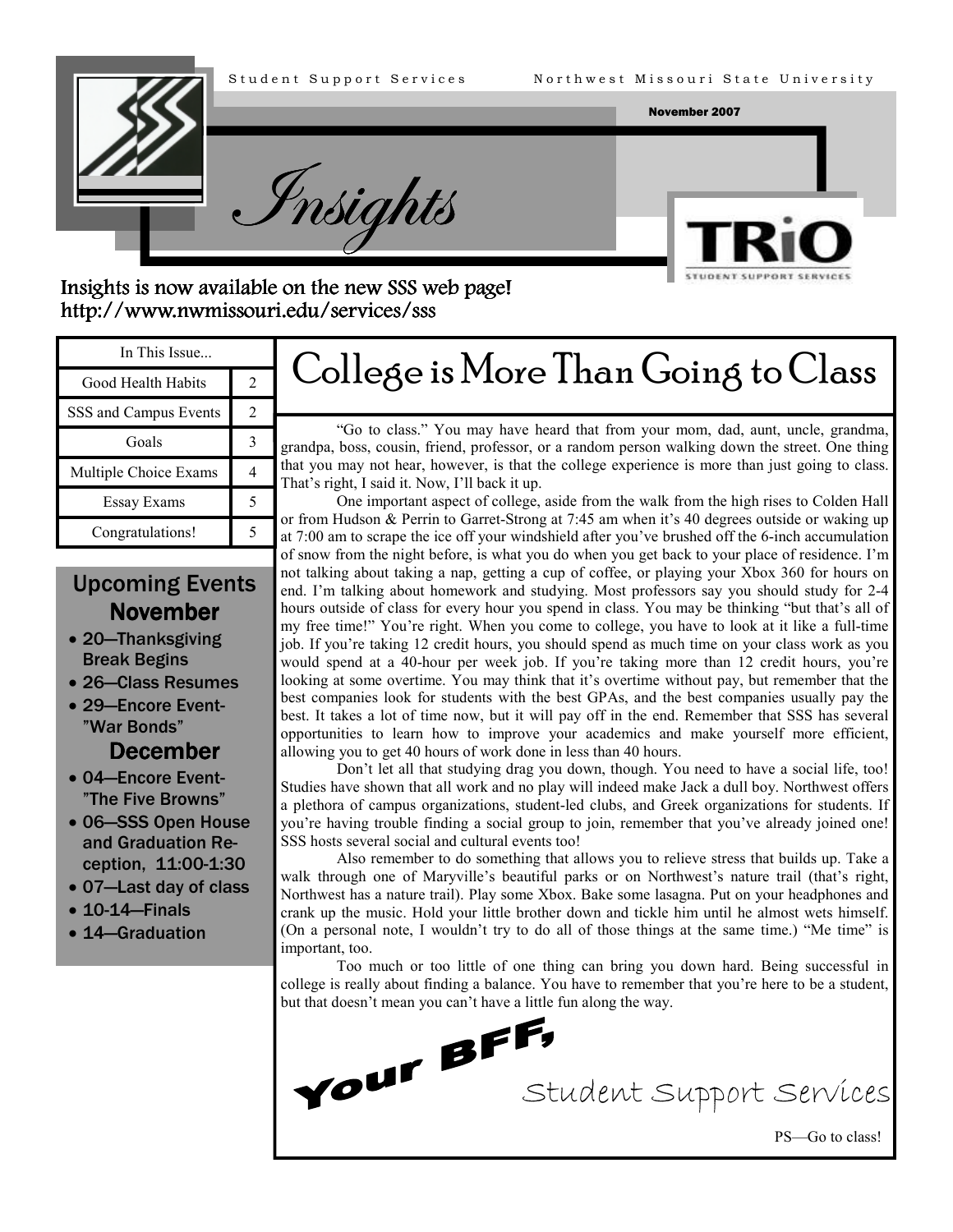



Insights is now available on the new SSS web page! http://www.nwmissouri.edu/services/sss http://www.nwmissouri.edu/services/sss

| In This Issue         |  |                                                                                                                                                                                                                                                                                                                                                                                                                                                                                                                                                                                                                                                                                   |
|-----------------------|--|-----------------------------------------------------------------------------------------------------------------------------------------------------------------------------------------------------------------------------------------------------------------------------------------------------------------------------------------------------------------------------------------------------------------------------------------------------------------------------------------------------------------------------------------------------------------------------------------------------------------------------------------------------------------------------------|
| Good Health Habits    |  | College is More Than Going to Class<br>"Go to class." You may have heard that from your mom, dad, aunt, uncle, grandma,<br>grandpa, boss, cousin, friend, professor, or a random person walking down the street. One thing<br>that you may not hear, however, is that the college experience is more than just going to class.<br>That's right, I said it. Now, I'll back it up.<br>One important aspect of college, aside from the walk from the high rises to Colden Hall<br>or from Hudson & Perrin to Garret-Strong at 7:45 am when it's 40 degrees outside or waking up<br>at 7:00 am to scrape the ice off your windshield after you've brushed off the 6-inch accumulation |
| SSS and Campus Events |  |                                                                                                                                                                                                                                                                                                                                                                                                                                                                                                                                                                                                                                                                                   |
| Goals                 |  |                                                                                                                                                                                                                                                                                                                                                                                                                                                                                                                                                                                                                                                                                   |
| Multiple Choice Exams |  |                                                                                                                                                                                                                                                                                                                                                                                                                                                                                                                                                                                                                                                                                   |
| Essay Exams           |  |                                                                                                                                                                                                                                                                                                                                                                                                                                                                                                                                                                                                                                                                                   |
| Congratulations!      |  |                                                                                                                                                                                                                                                                                                                                                                                                                                                                                                                                                                                                                                                                                   |
|                       |  | of snow from the night before, is what you do when you get back to your place of residence. I'm                                                                                                                                                                                                                                                                                                                                                                                                                                                                                                                                                                                   |

# Upcoming Events **November**

- 20—Thanksgiving Break Begins
- 26—Class Resumes
- 29—Encore Event- "War Bonds"

## December

- 04—Encore Event- "The Five Browns"
- 06—SSS Open House and Graduation Reception, 11:00-1:30
- 07—Last day of class
- 10-14—Finals
- 14—Graduation

of snow from the night before, is what you do when you get back to your place of residence. I'm

not talking about taking a nap, getting a cup of coffee, or playing your Xbox 360 for hours on end. I'm talking about homework and studying. Most professors say you should study for 2-4 hours outside of class for every hour you spend in class. You may be thinking "but that's all of my free time!" You're right. When you come to college, you have to look at it like a full-time job. If you're taking 12 credit hours, you should spend as much time on your class work as you would spend at a 40-hour per week job. If you're taking more than 12 credit hours, you're looking at some overtime. You may think that it's overtime without pay, but remember that the best companies look for students with the best GPAs, and the best companies usually pay the best. It takes a lot of time now, but it will pay off in the end. Remember that SSS has several opportunities to learn how to improve your academics and make yourself more efficient, allowing you to get 40 hours of work done in less than 40 hours.

Don't let all that studying drag you down, though. You need to have a social life, too! Studies have shown that all work and no play will indeed make Jack a dull boy. Northwest offers a plethora of campus organizations, student-led clubs, and Greek organizations for students. If you're having trouble finding a social group to join, remember that you've already joined one! SSS hosts several social and cultural events too!

Also remember to do something that allows you to relieve stress that builds up. Take a walk through one of Maryville's beautiful parks or on Northwest's nature trail (that's right, Northwest has a nature trail). Play some Xbox. Bake some lasagna. Put on your headphones and crank up the music. Hold your little brother down and tickle him until he almost wets himself. (On a personal note, I wouldn't try to do all of those things at the same time.) "Me time" is important, too.

Too much or too little of one thing can bring you down hard. Being successful in college is really about finding a balance. You have to remember that you're here to be a student,

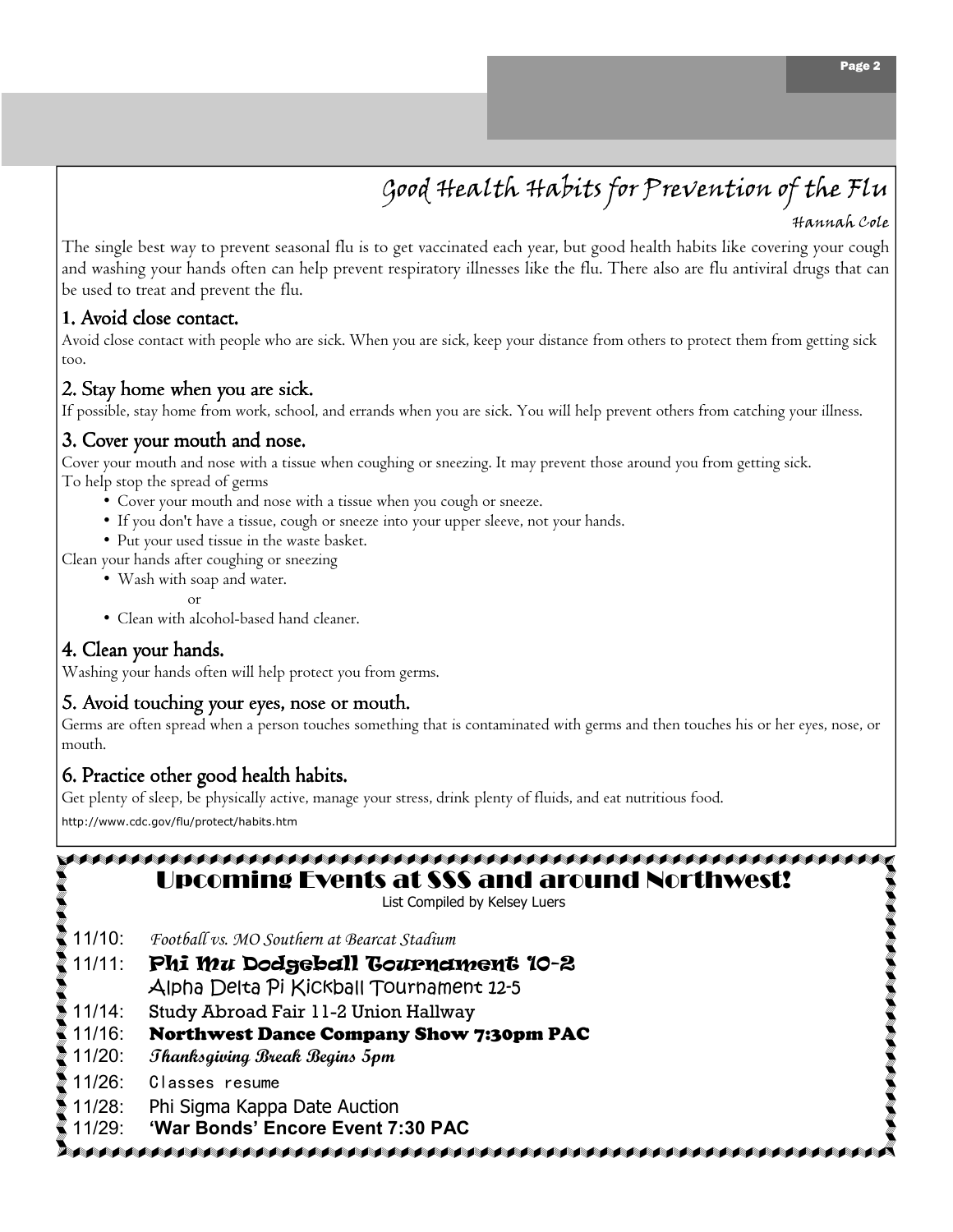# Good Health Habits for Prevention of the Flu

The single best way to prevent seasonal flu is to get vaccinated each year, but good health habits like covering your cough and washing your hands often can help prevent respiratory illnesses like the flu. There also are flu antiviral drugs that can be used to treat and prevent the flu.

#### 1. Avoid close contact.

Avoid close contact with people who are sick. When you are sick, keep your distance from others to protect them from getting sick too.

#### 2. Stay home when you are sick.

If possible, stay home from work, school, and errands when you are sick. You will help prevent others from catching your illness.

#### 3. Cover your mouth and nose.

Cover your mouth and nose with a tissue when coughing or sneezing. It may prevent those around you from getting sick. To help stop the spread of germs

- Cover your mouth and nose with a tissue when you cough or sneeze.
- If you don't have a tissue, cough or sneeze into your upper sleeve, not your hands.
- Put your used tissue in the waste basket.
- Clean your hands after coughing or sneezing
	- Wash with soap and water.
		- or
	- Clean with alcohol-based hand cleaner.

#### 4. Clean your hands.

Washing your hands often will help protect you from germs.

#### 5. Avoid touching your eyes, nose or mouth.

Germs are often spread when a person touches something that is contaminated with germs and then touches his or her eyes, nose, or mouth.

#### 6. Practice other good health habits.

Get plenty of sleep, be physically active, manage your stress, drink plenty of fluids, and eat nutritious food.

http://www.cdc.gov/flu/protect/habits.htm

| <b>Upcoming Events at SSS and around Northwest!</b><br>List Compiled by Kelsey Luers |  |  |
|--------------------------------------------------------------------------------------|--|--|
| Football vs. MO Southern at Bearcat Stadium                                          |  |  |
| Phi mu Dodgeball Gournament 10-2<br>Alpha Delta Pi Kickball Tournament 12-5          |  |  |
| Study Abroad Fair 11-2 Union Hallway                                                 |  |  |
| <b>Northwest Dance Company Show 7:30pm PAC</b>                                       |  |  |
| Thanksgiving Break Begins 5pm                                                        |  |  |
| Classes resume                                                                       |  |  |
| Phi Sigma Kappa Date Auction<br>'War Bonds' Encore Event 7:30 PAC                    |  |  |
|                                                                                      |  |  |

Page 2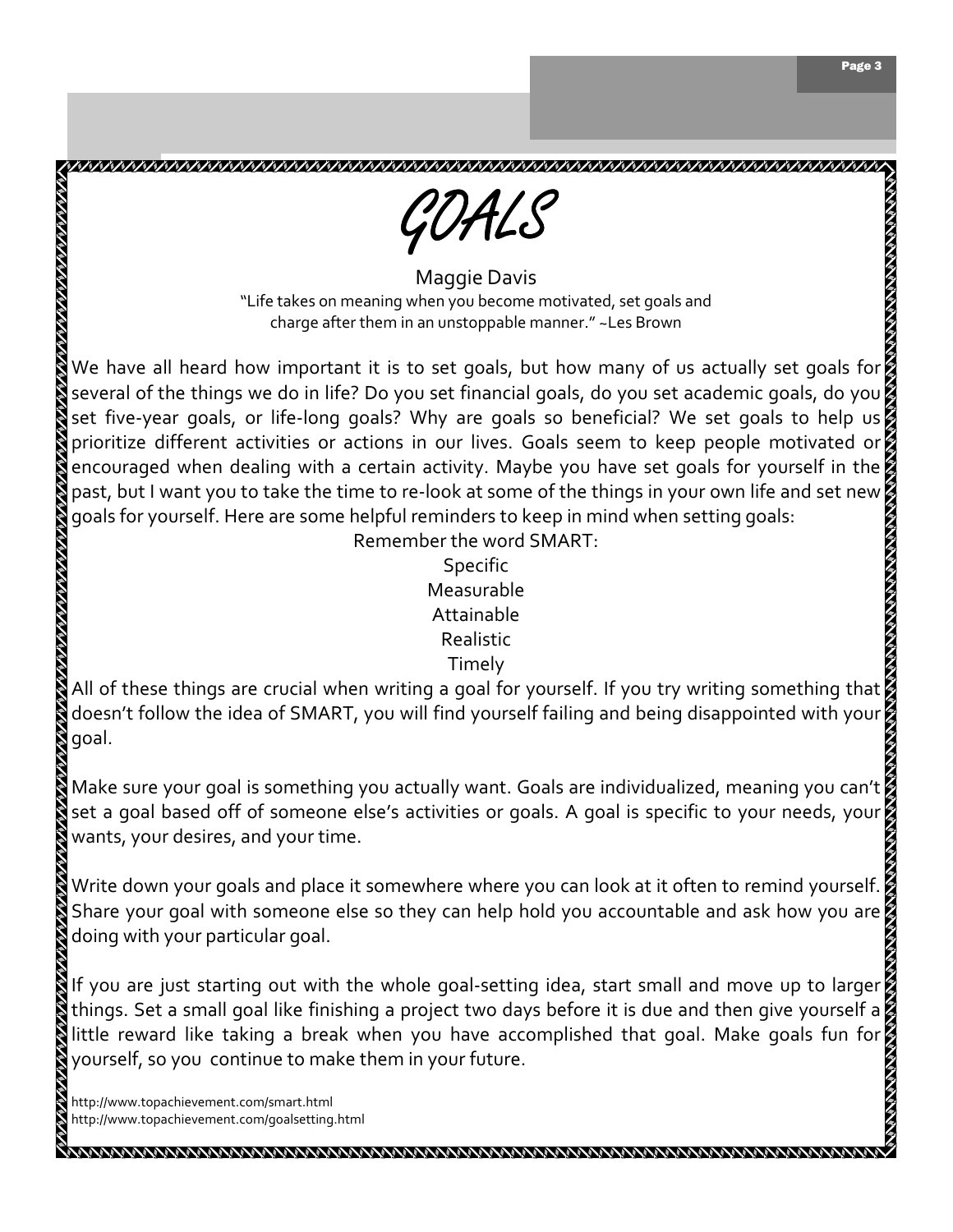

Maggie Davis "Life takes on meaning when you become motivated, set goals and charge after them in an unstoppable manner." ~Les Brown

We have all heard how important it is to set goals, but how many of us actually set goals for  $\beta$ several of the things we do in life? Do you set financial goals, do you set academic goals, do you set five-year goals, or life-long goals? Why are goals so beneficial? We set goals to help us prioritize different activities or actions in our lives. Goals seem to keep people motivated or encouraged when dealing with a certain activity. Maybe you have set goals for yourself in the past, but I want you to take the time to re-look at some of the things in your own life and set new goals for yourself. Here are some helpful reminders to keep in mind when setting goals:

> Remember the word SMART: Specific Measurable Attainable Realistic Timely

All of these things are crucial when writing a goal for yourself. If you try writing something that doesn't follow the idea of SMART, you will find yourself failing and being disappointed with your goal.

Make sure your goal is something you actually want. Goals are individualized, meaning you can't set a goal based off of someone else's activities or goals. A goal is specific to your needs, your wants, your desires, and your time.

Write down your goals and place it somewhere where you can look at it often to remind yourself.  $\beta$ Share your goal with someone else so they can help hold you accountable and ask how you are doing with your particular goal.

If you are just starting out with the whole goal-setting idea, start small and move up to larger things. Set a small goal like finishing a project two days before it is due and then give yourself a little reward like taking a break when you have accomplished that goal. Make goals fun for yourself, so you continue to make them in your future.

http://www.topachievement.com/smart.html http://www.topachievement.com/goalsetting.html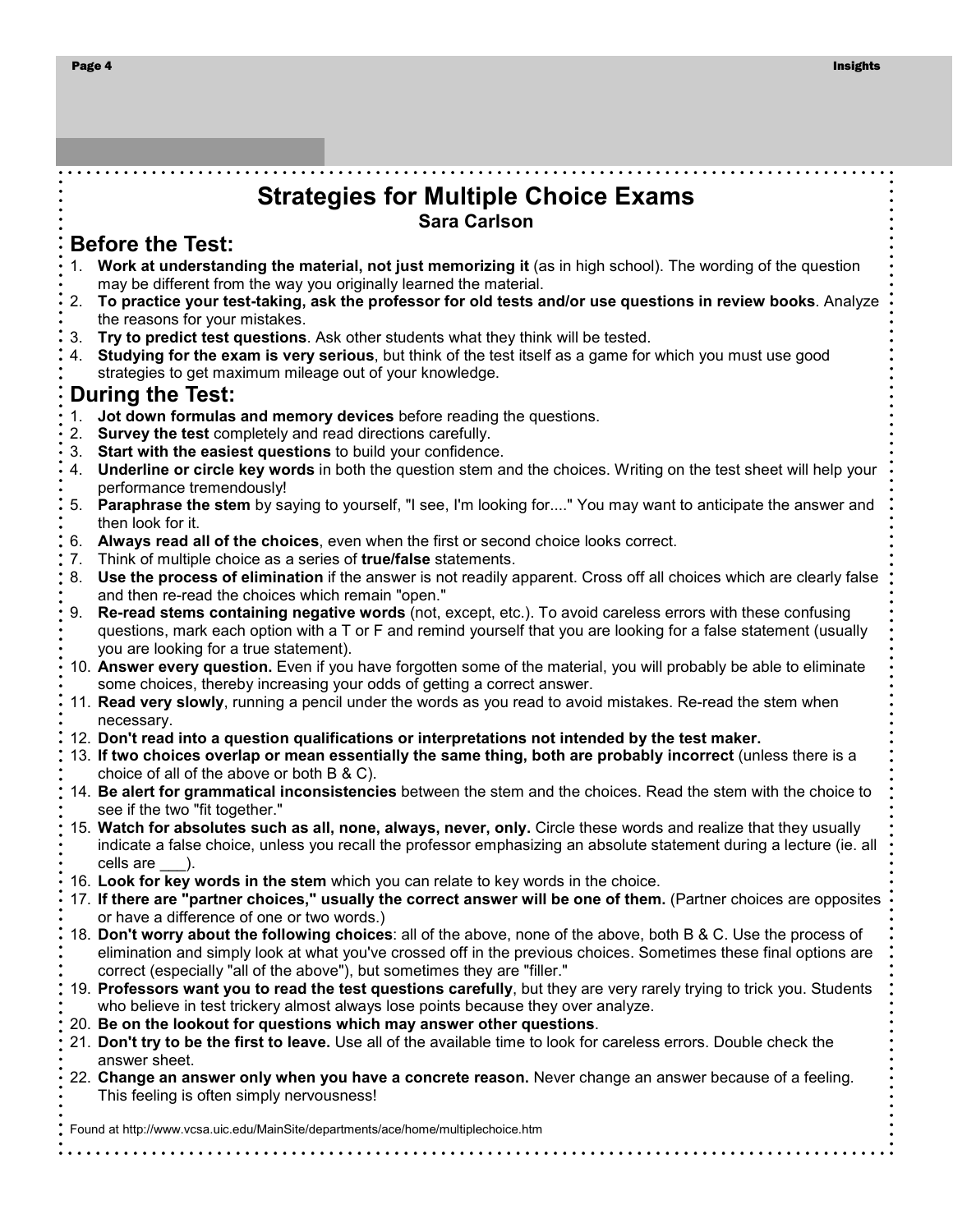## Strategies for Multiple Choice Exams Sara Carlson

#### Before the Test:

- 1. Work at understanding the material, not just memorizing it (as in high school). The wording of the question may be different from the way you originally learned the material.
- 2. To practice your test-taking, ask the professor for old tests and/or use questions in review books. Analyze the reasons for your mistakes.
- 3. Try to predict test questions. Ask other students what they think will be tested.
- 4. Studying for the exam is very serious, but think of the test itself as a game for which you must use good strategies to get maximum mileage out of your knowledge.

## During the Test:

- 1. Jot down formulas and memory devices before reading the questions.
- 2. Survey the test completely and read directions carefully.
- 3. Start with the easiest questions to build your confidence.
- 4. Underline or circle key words in both the question stem and the choices. Writing on the test sheet will help your performance tremendously!
- 5. Paraphrase the stem by saying to yourself, "I see, I'm looking for...." You may want to anticipate the answer and then look for it.
- 6. Always read all of the choices, even when the first or second choice looks correct.
- 7. Think of multiple choice as a series of true/false statements.
- 8. Use the process of elimination if the answer is not readily apparent. Cross off all choices which are clearly false and then re-read the choices which remain "open."
- 9. Re-read stems containing negative words (not, except, etc.). To avoid careless errors with these confusing questions, mark each option with a T or F and remind yourself that you are looking for a false statement (usually you are looking for a true statement).
- 10. Answer every question. Even if you have forgotten some of the material, you will probably be able to eliminate some choices, thereby increasing your odds of getting a correct answer.
- 11. Read very slowly, running a pencil under the words as you read to avoid mistakes. Re-read the stem when necessary.
- 12. Don't read into a question qualifications or interpretations not intended by the test maker.
- 13. If two choices overlap or mean essentially the same thing, both are probably incorrect (unless there is a choice of all of the above or both B & C).
- 14. Be alert for grammatical inconsistencies between the stem and the choices. Read the stem with the choice to see if the two "fit together."
- 15. Watch for absolutes such as all, none, always, never, only. Circle these words and realize that they usually indicate a false choice, unless you recall the professor emphasizing an absolute statement during a lecture (ie. all cells are \_\_\_).
- 16. Look for key words in the stem which you can relate to key words in the choice.
- 17. If there are "partner choices," usually the correct answer will be one of them. (Partner choices are opposites or have a difference of one or two words.)
- 18. Don't worry about the following choices: all of the above, none of the above, both B & C. Use the process of elimination and simply look at what you've crossed off in the previous choices. Sometimes these final options are correct (especially "all of the above"), but sometimes they are "filler."
- 19. Professors want you to read the test questions carefully, but they are very rarely trying to trick you. Students who believe in test trickery almost always lose points because they over analyze.
- 20. Be on the lookout for questions which may answer other questions.
- 21. Don't try to be the first to leave. Use all of the available time to look for careless errors. Double check the answer sheet.
- 22. Change an answer only when you have a concrete reason. Never change an answer because of a feeling. This feeling is often simply nervousness!

Found at http://www.vcsa.uic.edu/MainSite/departments/ace/home/multiplechoice.htm